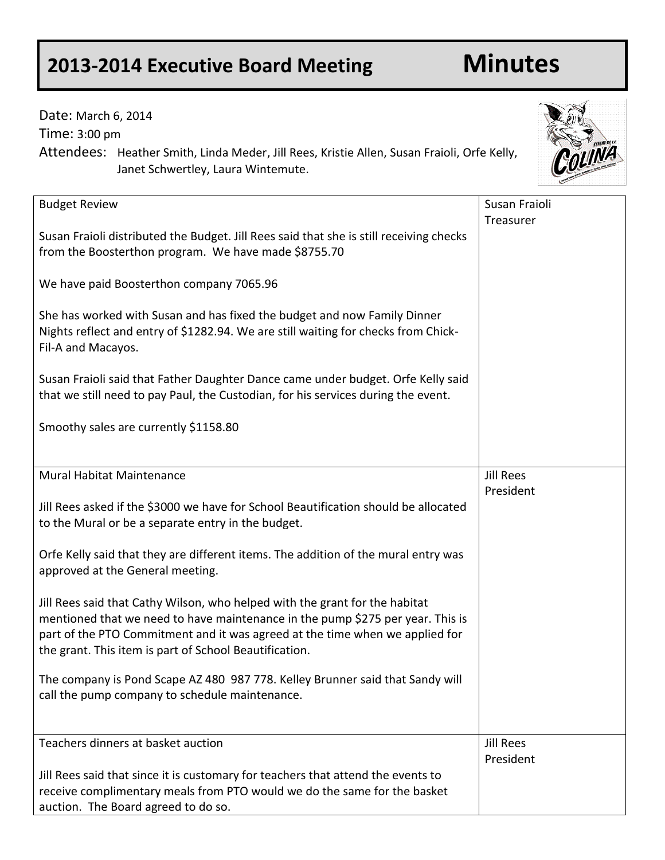## **2013-2014 Executive Board Meeting Minutes**

Date: March 6, 2014

Time: 3:00 pm Attendees: Heather Smith, Linda Meder, Jill Rees, Kristie Allen, Susan Fraioli, Orfe Kelly, Janet Schwertley, Laura Wintemute. Budget Review Susan Fraioli distributed the Budget. Jill Rees said that she is still receiving checks from the Boosterthon program. We have made \$8755.70 We have paid Boosterthon company 7065.96 She has worked with Susan and has fixed the budget and now Family Dinner Nights reflect and entry of \$1282.94. We are still waiting for checks from Chick-Fil-A and Macayos. Susan Fraioli said that Father Daughter Dance came under budget. Orfe Kelly said that we still need to pay Paul, the Custodian, for his services during the event. Smoothy sales are currently \$1158.80 Susan Fraioli Treasurer Mural Habitat Maintenance Jill Rees asked if the \$3000 we have for School Beautification should be allocated to the Mural or be a separate entry in the budget. Orfe Kelly said that they are different items. The addition of the mural entry was approved at the General meeting. Jill Rees said that Cathy Wilson, who helped with the grant for the habitat mentioned that we need to have maintenance in the pump \$275 per year. This is part of the PTO Commitment and it was agreed at the time when we applied for the grant. This item is part of School Beautification. The company is Pond Scape AZ 480 987 778. Kelley Brunner said that Sandy will call the pump company to schedule maintenance. Jill Rees President Teachers dinners at basket auction Jill Rees said that since it is customary for teachers that attend the events to receive complimentary meals from PTO would we do the same for the basket auction. The Board agreed to do so. Jill Rees President